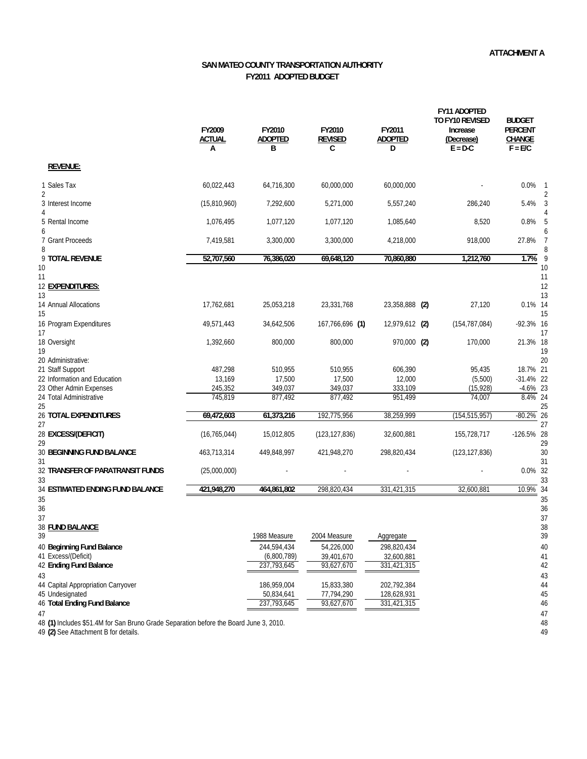## **SAN MATEO COUNTY TRANSPORTATION AUTHORITY FY2011 ADOPTED BUDGET**

|                                                                                                   | FY2009<br><b>ACTUAL</b><br>А | FY2010<br><b>ADOPTED</b><br>B | FY2010<br><b>REVISED</b><br>C | FY2011<br><b>ADOPTED</b><br>D | <b>FY11 ADOPTED</b><br>TO FY10 REVISED<br>Increase<br>(Decrease)<br>$E = D-C$ | <b>BUDGET</b><br><b>PERCENT</b><br>CHANGE<br>$F = E/C$ |
|---------------------------------------------------------------------------------------------------|------------------------------|-------------------------------|-------------------------------|-------------------------------|-------------------------------------------------------------------------------|--------------------------------------------------------|
| <b>REVENUE:</b>                                                                                   |                              |                               |                               |                               |                                                                               |                                                        |
| 1 Sales Tax<br>2                                                                                  | 60,022,443                   | 64,716,300                    | 60,000,000                    | 60,000,000                    |                                                                               | 0.0%                                                   |
| 3 Interest Income                                                                                 | (15,810,960)                 | 7,292,600                     | 5,271,000                     | 5,557,240                     | 286,240                                                                       | 5.4%                                                   |
| 5 Rental Income<br>6                                                                              | 1,076,495                    | 1,077,120                     | 1,077,120                     | 1,085,640                     | 8,520                                                                         | 0.8%                                                   |
| 7 Grant Proceeds<br>8                                                                             | 7,419,581                    | 3,300,000                     | 3,300,000                     | 4,218,000                     | 918.000                                                                       | 27.8%                                                  |
| 9 TOTAL REVENUE<br>10                                                                             | 52,707,560                   | 76,386,020                    | 69,648,120                    | 70,860,880                    | 1,212,760                                                                     | 1.7%<br>- 9<br>10                                      |
| 11<br>12 EXPENDITURES:<br>13                                                                      |                              |                               |                               |                               |                                                                               | 11<br>12<br>13                                         |
| 14 Annual Allocations<br>15                                                                       | 17,762,681                   | 25,053,218                    | 23,331,768                    | 23,358,888 (2)                | 27,120                                                                        | 0.1% 14<br>15                                          |
| 16 Program Expenditures<br>17                                                                     | 49,571,443                   | 34,642,506                    | 167,766,696 (1)               | 12,979,612 (2)                | (154, 787, 084)                                                               | $-92.3\%$ 16<br>17                                     |
| 18 Oversight<br>19                                                                                | 1,392,660                    | 800,000                       | 800,000                       | 970,000 (2)                   | 170,000                                                                       | 21.3% 18<br>19                                         |
| 20 Administrative:<br>21 Staff Support<br>22 Information and Education<br>23 Other Admin Expenses | 487,298<br>13,169<br>245,352 | 510,955<br>17,500<br>349,037  | 510,955<br>17,500<br>349,037  | 606,390<br>12,000<br>333,109  | 95,435<br>(5,500)<br>(15, 928)                                                | 20<br>18.7% 21<br>$-31.4\%$ 22<br>$-4.6\%$ 23          |
| 24 Total Administrative<br>25                                                                     | 745,819                      | 877,492                       | 877,492                       | 951,499                       | 74,007                                                                        | $8.4\%$ 24<br>25                                       |
| <b>26 TOTAL EXPENDITURES</b><br>27                                                                | 69,472,603                   | 61,373,216                    | 192,775,956                   | 38,259,999                    | (154, 515, 957)                                                               | $-80.2\%$ 26<br>27                                     |
| 28 EXCESS/(DEFICIT)<br>29                                                                         | (16, 765, 044)               | 15,012,805                    | (123, 127, 836)               | 32,600,881                    | 155,728,717                                                                   | -126.5% 28<br>29                                       |
| <b>30 BEGINNING FUND BALANCE</b><br>31                                                            | 463,713,314                  | 449,848,997                   | 421,948,270                   | 298,820,434                   | (123, 127, 836)                                                               | 30<br>31                                               |
| 32 TRANSFER OF PARATRANSIT FUNDS<br>33                                                            | (25,000,000)                 |                               |                               |                               |                                                                               | 0.0% 32<br>33                                          |
| 34 ESTIMATED ENDING FUND BALANCE<br>35                                                            | 421,948,270                  | 464.861.802                   | 298.820.434                   | 331,421,315                   | 32.600.881                                                                    | 10.9% 34<br>35                                         |
| 36<br>37<br>38 FUND BALANCE                                                                       |                              |                               |                               |                               |                                                                               | 36<br>37<br>38                                         |
| 39<br>40 Beginning Fund Balance                                                                   |                              | 1988 Measure<br>244,594,434   | 2004 Measure<br>54,226,000    | Aggregate<br>298,820,434      |                                                                               | 39<br>40                                               |
| 41 Excess/(Deficit)<br>42 Ending Fund Balance                                                     |                              | (6,800,789)<br>237,793,645    | 39,401,670<br>93,627,670      | 32,600,881<br>331,421,315     |                                                                               | 41<br>42                                               |
| 43<br>44 Capital Appropriation Carryover<br>45 Undesignated                                       |                              | 186,959,004<br>50,834,641     | 15,833,380<br>77,794,290      | 202,792,384<br>128,628,931    |                                                                               | 43<br>44<br>45                                         |
| 46 Total Ending Fund Balance<br>47                                                                |                              | 237,793,645                   | 93,627,670                    | 331,421,315                   |                                                                               | 46<br>47                                               |

**(1)** Includes \$51.4M for San Bruno Grade Separation before the Board June 3, 2010. 48

**(2)** See Attachment B for details. 49